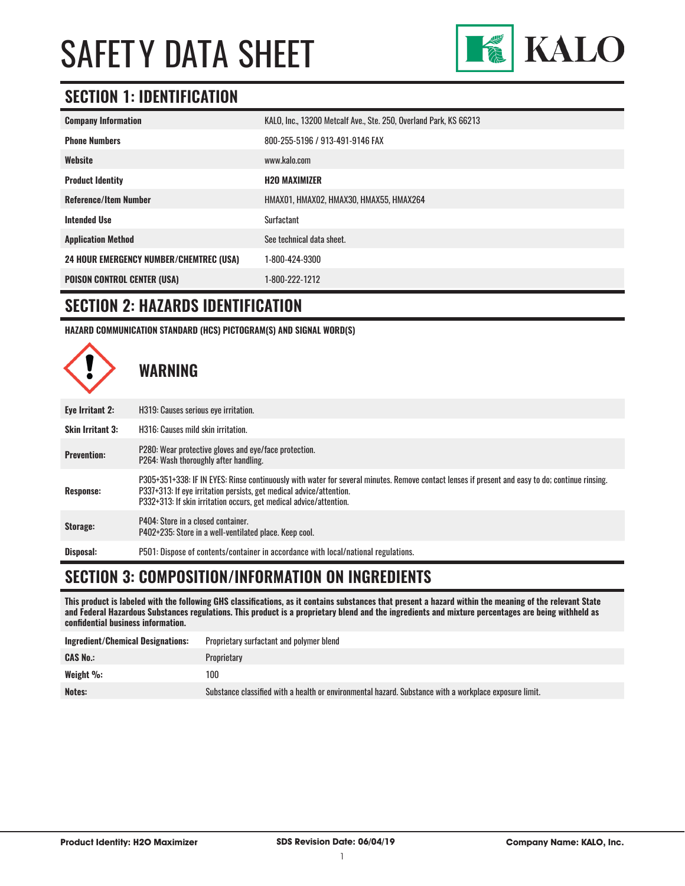

#### **SECTION 1: IDENTIFICATION**

| <b>Company Information</b>                     | KALO, Inc., 13200 Metcalf Ave., Ste. 250, Overland Park, KS 66213 |
|------------------------------------------------|-------------------------------------------------------------------|
| <b>Phone Numbers</b>                           | 800-255-5196 / 913-491-9146 FAX                                   |
| Website                                        | www.kalo.com                                                      |
| <b>Product Identity</b>                        | <b>H2O MAXIMIZER</b>                                              |
| <b>Reference/Item Number</b>                   | HMAX01, HMAX02, HMAX30, HMAX55, HMAX264                           |
| <b>Intended Use</b>                            | Surfactant                                                        |
| <b>Application Method</b>                      | See technical data sheet.                                         |
| <b>24 HOUR EMERGENCY NUMBER/CHEMTREC (USA)</b> | 1-800-424-9300                                                    |
| <b>POISON CONTROL CENTER (USA)</b>             | 1-800-222-1212                                                    |

#### **SECTION 2: HAZARDS IDENTIFICATION**

**HAZARD COMMUNICATION STANDARD (HCS) PICTOGRAM(S) AND SIGNAL WORD(S)**



### **SECTION 3: COMPOSITION/INFORMATION ON INGREDIENTS**

**This product is labeled with the following GHS classifications, as it contains substances that present a hazard within the meaning of the relevant State and Federal Hazardous Substances regulations. This product is a proprietary blend and the ingredients and mixture percentages are being withheld as confidential business information.**

| <b>Ingredient/Chemical Designations:</b> | Proprietary surfactant and polymer blend                                                               |
|------------------------------------------|--------------------------------------------------------------------------------------------------------|
| <b>CAS No.:</b>                          | Proprietary                                                                                            |
| Weight $\%$ :                            | 100                                                                                                    |
| Notes:                                   | Substance classified with a health or environmental hazard. Substance with a workplace exposure limit. |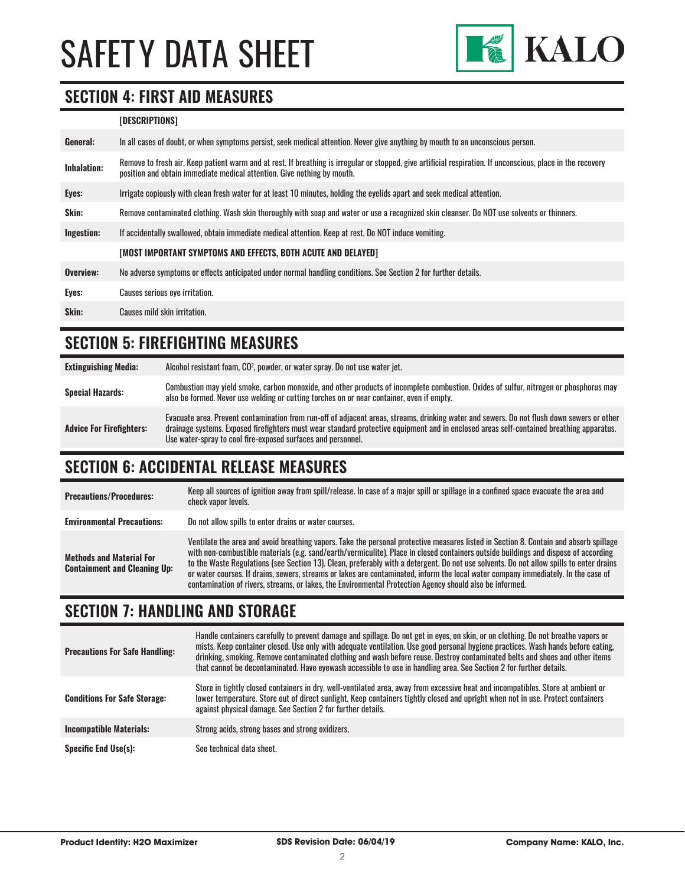

#### **SECTION 4: FIRST AID MEASURES**

#### **[DESCRIPTIONS]**

| General:           | In all cases of doubt, or when symptoms persist, seek medical attention. Never give anything by mouth to an unconscious person.                                                                                                         |
|--------------------|-----------------------------------------------------------------------------------------------------------------------------------------------------------------------------------------------------------------------------------------|
| <b>Inhalation:</b> | Remove to fresh air. Keep patient warm and at rest. If breathing is irregular or stopped, give artificial respiration. If unconscious, place in the recovery<br>position and obtain immediate medical attention. Give nothing by mouth. |
| Eyes:              | Irrigate copiously with clean fresh water for at least 10 minutes, holding the eyelids apart and seek medical attention.                                                                                                                |
| <b>Skin:</b>       | Remove contaminated clothing. Wash skin thoroughly with soap and water or use a recognized skin cleanser. Do NOT use solvents or thinners.                                                                                              |
| Ingestion:         | If accidentally swallowed, obtain immediate medical attention. Keep at rest. Do NOT induce vomiting.                                                                                                                                    |
|                    | [MOST IMPORTANT SYMPTOMS AND EFFECTS, BOTH ACUTE AND DELAYED]                                                                                                                                                                           |
| Overview:          | No adverse symptoms or effects anticipated under normal handling conditions. See Section 2 for further details.                                                                                                                         |
| Eyes:              | Causes serious eye irritation.                                                                                                                                                                                                          |
| Skin:              | Causes mild skin irritation.                                                                                                                                                                                                            |
|                    |                                                                                                                                                                                                                                         |

#### **SECTION 5: FIREFIGHTING MEASURES**

| <b>Extinguishing Media:</b>     | Alcohol resistant foam, CO <sup>2</sup> , powder, or water spray. Do not use water jet.                                                                                                                                                                                                                                                                |
|---------------------------------|--------------------------------------------------------------------------------------------------------------------------------------------------------------------------------------------------------------------------------------------------------------------------------------------------------------------------------------------------------|
| <b>Special Hazards:</b>         | Combustion may yield smoke, carbon monoxide, and other products of incomplete combustion. Oxides of sulfur, nitrogen or phosphorus may<br>also be formed. Never use welding or cutting torches on or near container, even if empty.                                                                                                                    |
| <b>Advice For Firefighters:</b> | Evacuate area. Prevent contamination from run-off of adjacent areas, streams, drinking water and sewers. Do not flush down sewers or other<br>drainage systems. Exposed firefighters must wear standard protective equipment and in enclosed areas self-contained breathing apparatus.<br>Use water-spray to cool fire-exposed surfaces and personnel. |

#### **SECTION 6: ACCIDENTAL RELEASE MEASURES**

| <b>Precautions/Procedures:</b>                                         | Keep all sources of ignition away from spill/release. In case of a major spill or spillage in a confined space evacuate the area and<br>check vapor levels.                                                                                                                                                                                                                                                                                                                                                                                                                                                                                                               |
|------------------------------------------------------------------------|---------------------------------------------------------------------------------------------------------------------------------------------------------------------------------------------------------------------------------------------------------------------------------------------------------------------------------------------------------------------------------------------------------------------------------------------------------------------------------------------------------------------------------------------------------------------------------------------------------------------------------------------------------------------------|
| <b>Environmental Precautions:</b>                                      | Do not allow spills to enter drains or water courses.                                                                                                                                                                                                                                                                                                                                                                                                                                                                                                                                                                                                                     |
| <b>Methods and Material For</b><br><b>Containment and Cleaning Up:</b> | Ventilate the area and avoid breathing vapors. Take the personal protective measures listed in Section 8. Contain and absorb spillage<br>with non-combustible materials (e.g. sand/earth/vermiculite). Place in closed containers outside buildings and dispose of according<br>to the Waste Regulations (see Section 13). Clean, preferably with a detergent. Do not use solvents. Do not allow spills to enter drains<br>or water courses. If drains, sewers, streams or lakes are contaminated, inform the local water company immediately. In the case of<br>contamination of rivers, streams, or lakes, the Environmental Protection Agency should also be informed. |

#### **SECTION 7: HANDLING AND STORAGE**

| <b>Precautions For Safe Handling:</b> | Handle containers carefully to prevent damage and spillage. Do not get in eyes, on skin, or on clothing. Do not breathe vapors or<br>mists. Keep container closed. Use only with adequate ventilation. Use good personal hygiene practices. Wash hands before eating,<br>drinking, smoking. Remove contaminated clothing and wash before reuse. Destroy contaminated belts and shoes and other items<br>that cannot be decontaminated. Have eyewash accessible to use in handling area. See Section 2 for further details. |
|---------------------------------------|----------------------------------------------------------------------------------------------------------------------------------------------------------------------------------------------------------------------------------------------------------------------------------------------------------------------------------------------------------------------------------------------------------------------------------------------------------------------------------------------------------------------------|
| <b>Conditions For Safe Storage:</b>   | Store in tightly closed containers in dry, well-ventilated area, away from excessive heat and incompatibles. Store at ambient or<br>lower temperature. Store out of direct sunlight. Keep containers tightly closed and upright when not in use. Protect containers<br>against physical damage. See Section 2 for further details.                                                                                                                                                                                         |
| <b>Incompatible Materials:</b>        | Strong acids, strong bases and strong oxidizers.                                                                                                                                                                                                                                                                                                                                                                                                                                                                           |
| <b>Specific End Use(s):</b>           | See technical data sheet.                                                                                                                                                                                                                                                                                                                                                                                                                                                                                                  |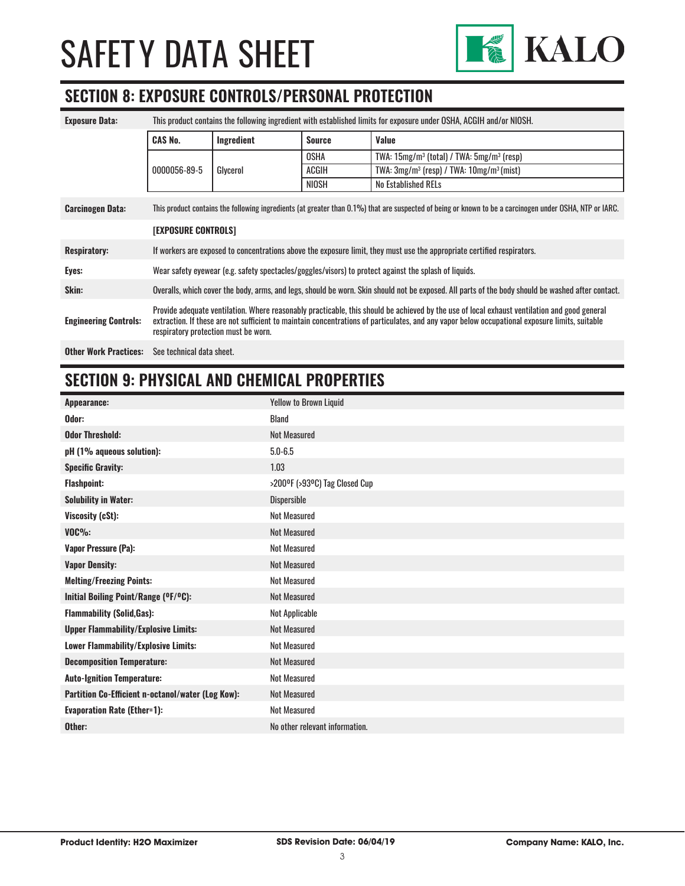

## **SECTION 8: EXPOSURE CONTROLS/PERSONAL PROTECTION**

| <b>Exposure Data:</b>        | This product contains the following ingredient with established limits for exposure under OSHA, ACGIH and/or NIOSH.                                                                                                                                                                                                                    |            |               |                                                 |
|------------------------------|----------------------------------------------------------------------------------------------------------------------------------------------------------------------------------------------------------------------------------------------------------------------------------------------------------------------------------------|------------|---------------|-------------------------------------------------|
|                              | <b>CAS No.</b>                                                                                                                                                                                                                                                                                                                         | Ingredient | <b>Source</b> | Value                                           |
|                              |                                                                                                                                                                                                                                                                                                                                        |            | OSHA          | TWA: $15mg/m^3$ (total) / TWA: $5mg/m^3$ (resp) |
|                              | 0000056-89-5                                                                                                                                                                                                                                                                                                                           | Glycerol   | ACGIH         | TWA: $3mg/m^3$ (resp) / TWA: $10mg/m^3$ (mist)  |
|                              |                                                                                                                                                                                                                                                                                                                                        |            | NIOSH         | No Established RELs                             |
| <b>Carcinogen Data:</b>      | This product contains the following ingredients (at greater than 0.1%) that are suspected of being or known to be a carcinogen under OSHA, NTP or IARC.                                                                                                                                                                                |            |               |                                                 |
|                              | <b>[EXPOSURE CONTROLS]</b>                                                                                                                                                                                                                                                                                                             |            |               |                                                 |
| <b>Respiratory:</b>          | If workers are exposed to concentrations above the exposure limit, they must use the appropriate certified respirators.                                                                                                                                                                                                                |            |               |                                                 |
| Eyes:                        | Wear safety eyewear (e.g. safety spectacles/goggles/visors) to protect against the splash of liquids.                                                                                                                                                                                                                                  |            |               |                                                 |
| Skin:                        | Overalls, which cover the body, arms, and legs, should be worn. Skin should not be exposed. All parts of the body should be washed after contact.                                                                                                                                                                                      |            |               |                                                 |
| <b>Engineering Controls:</b> | Provide adequate ventilation. Where reasonably practicable, this should be achieved by the use of local exhaust ventilation and good general<br>extraction. If these are not sufficient to maintain concentrations of particulates, and any vapor below occupational exposure limits, suitable<br>respiratory protection must be worn. |            |               |                                                 |
| <b>Other Work Practices:</b> | See technical data sheet.                                                                                                                                                                                                                                                                                                              |            |               |                                                 |

### **SECTION 9: PHYSICAL AND CHEMICAL PROPERTIES**

| Appearance:                                       | <b>Yellow to Brown Liquid</b>  |
|---------------------------------------------------|--------------------------------|
| Odor:                                             | <b>Bland</b>                   |
| <b>Odor Threshold:</b>                            | <b>Not Measured</b>            |
| pH (1% aqueous solution):                         | $5.0 - 6.5$                    |
| <b>Specific Gravity:</b>                          | 1.03                           |
| <b>Flashpoint:</b>                                | >200°F (>93°C) Tag Closed Cup  |
| <b>Solubility in Water:</b>                       | Dispersible                    |
| Viscosity (cSt):                                  | <b>Not Measured</b>            |
| $VOC\%$ :                                         | <b>Not Measured</b>            |
| <b>Vapor Pressure (Pa):</b>                       | <b>Not Measured</b>            |
| <b>Vapor Density:</b>                             | <b>Not Measured</b>            |
| <b>Melting/Freezing Points:</b>                   | <b>Not Measured</b>            |
| Initial Boiling Point/Range (OF/OC):              | <b>Not Measured</b>            |
| <b>Flammability (Solid, Gas):</b>                 | Not Applicable                 |
| <b>Upper Flammability/Explosive Limits:</b>       | <b>Not Measured</b>            |
| <b>Lower Flammability/Explosive Limits:</b>       | <b>Not Measured</b>            |
| <b>Decomposition Temperature:</b>                 | <b>Not Measured</b>            |
| <b>Auto-Ignition Temperature:</b>                 | <b>Not Measured</b>            |
| Partition Co-Efficient n-octanol/water (Log Kow): | <b>Not Measured</b>            |
| <b>Evaporation Rate (Ether=1):</b>                | <b>Not Measured</b>            |
| Other:                                            | No other relevant information. |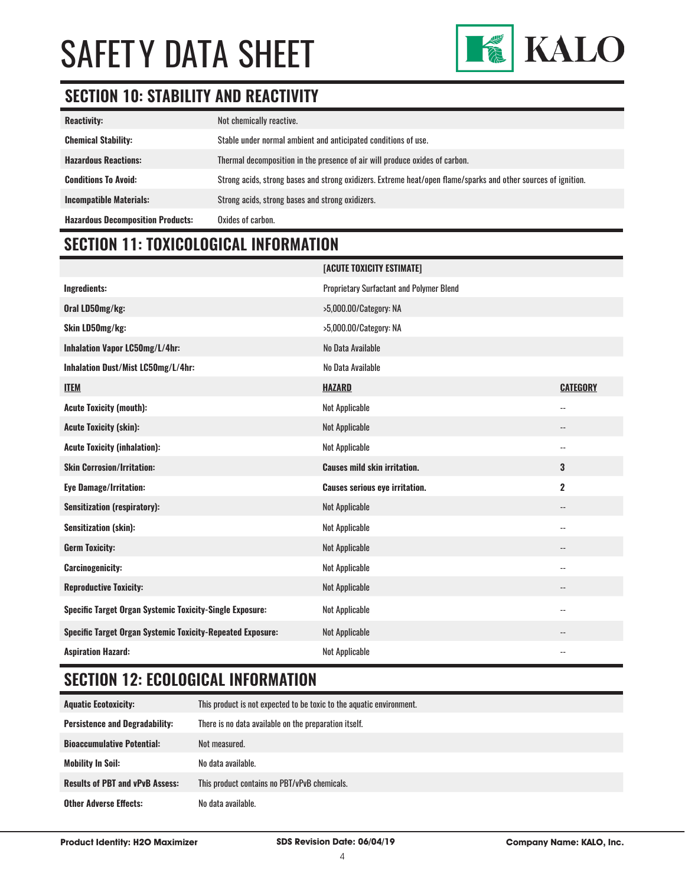

### **SECTION 10: STABILITY AND REACTIVITY**

| <b>Reactivity:</b>                       | Not chemically reactive.                                                                                       |
|------------------------------------------|----------------------------------------------------------------------------------------------------------------|
| <b>Chemical Stability:</b>               | Stable under normal ambient and anticipated conditions of use.                                                 |
| <b>Hazardous Reactions:</b>              | Thermal decomposition in the presence of air will produce oxides of carbon.                                    |
| <b>Conditions To Avoid:</b>              | Strong acids, strong bases and strong oxidizers. Extreme heat/open flame/sparks and other sources of ignition. |
| <b>Incompatible Materials:</b>           | Strong acids, strong bases and strong oxidizers.                                                               |
| <b>Hazardous Decomposition Products:</b> | Oxides of carbon.                                                                                              |

### **SECTION 11: TOXICOLOGICAL INFORMATION**

|                                                                   | [ACUTE TOXICITY ESTIMATE]                       |                          |
|-------------------------------------------------------------------|-------------------------------------------------|--------------------------|
| Ingredients:                                                      | <b>Proprietary Surfactant and Polymer Blend</b> |                          |
| Oral LD50mg/kg:                                                   | >5,000.00/Category: NA                          |                          |
| Skin LD50mg/kg:                                                   | >5,000.00/Category: NA                          |                          |
| Inhalation Vapor LC50mg/L/4hr:                                    | No Data Available                               |                          |
| Inhalation Dust/Mist LC50mg/L/4hr:                                | No Data Available                               |                          |
| <b>ITEM</b>                                                       | <b>HAZARD</b>                                   | <b>CATEGORY</b>          |
| <b>Acute Toxicity (mouth):</b>                                    | Not Applicable                                  | $-$                      |
| <b>Acute Toxicity (skin):</b>                                     | Not Applicable                                  | $\overline{\phantom{a}}$ |
| <b>Acute Toxicity (inhalation):</b>                               | Not Applicable                                  | $\overline{\phantom{a}}$ |
| <b>Skin Corrosion/Irritation:</b>                                 | <b>Causes mild skin irritation.</b>             | 3                        |
|                                                                   |                                                 |                          |
| <b>Eye Damage/Irritation:</b>                                     | <b>Causes serious eye irritation.</b>           | $\overline{2}$           |
| <b>Sensitization (respiratory):</b>                               | Not Applicable                                  | $\overline{\phantom{a}}$ |
| <b>Sensitization (skin):</b>                                      | Not Applicable                                  | $\overline{\phantom{a}}$ |
| <b>Germ Toxicity:</b>                                             | Not Applicable                                  | --                       |
| <b>Carcinogenicity:</b>                                           | Not Applicable                                  | $\overline{\phantom{a}}$ |
| <b>Reproductive Toxicity:</b>                                     | Not Applicable                                  | $\overline{\phantom{a}}$ |
| <b>Specific Target Organ Systemic Toxicity-Single Exposure:</b>   | Not Applicable                                  | $\overline{\phantom{a}}$ |
| <b>Specific Target Organ Systemic Toxicity-Repeated Exposure:</b> | Not Applicable                                  | --                       |

### **SECTION 12: ECOLOGICAL INFORMATION**

| <b>Aquatic Ecotoxicity:</b>            | This product is not expected to be toxic to the aquatic environment. |
|----------------------------------------|----------------------------------------------------------------------|
| <b>Persistence and Degradability:</b>  | There is no data available on the preparation itself.                |
| <b>Bioaccumulative Potential:</b>      | Not measured.                                                        |
| <b>Mobility In Soil:</b>               | No data available.                                                   |
| <b>Results of PBT and vPvB Assess:</b> | This product contains no PBT/vPvB chemicals.                         |
| <b>Other Adverse Effects:</b>          | No data available.                                                   |